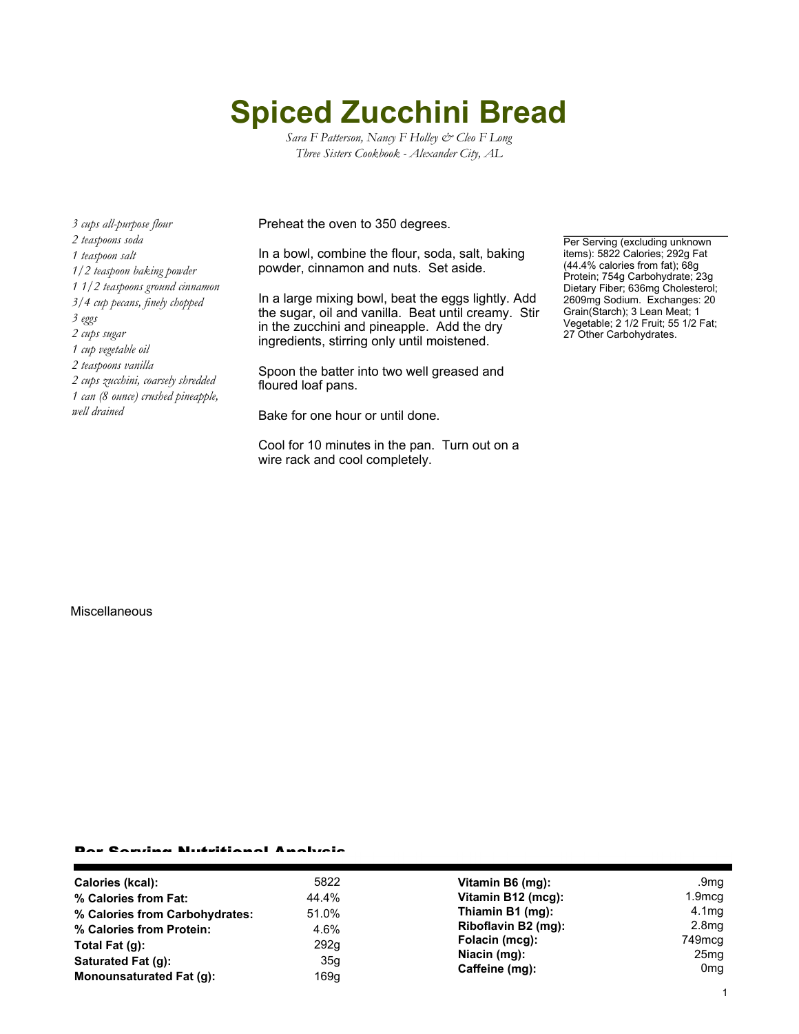## **Spiced Zucchini Bread**

*Sara F Patterson, Nancy F Holley & Cleo F Long Three Sisters Cookbook - Alexander City, AL*

*3 cups all-purpose flour 2 teaspoons soda 1 teaspoon salt 1/2 teaspoon baking powder 1 1/2 teaspoons ground cinnamon 3/4 cup pecans, finely chopped 3 eggs 2 cups sugar 1 cup vegetable oil 2 teaspoons vanilla 2 cups zucchini, coarsely shredded 1 can (8 ounce) crushed pineapple, well drained*

Preheat the oven to 350 degrees.

In a bowl, combine the flour, soda, salt, baking powder, cinnamon and nuts. Set aside.

In a large mixing bowl, beat the eggs lightly. Add the sugar, oil and vanilla. Beat until creamy. Stir in the zucchini and pineapple. Add the dry ingredients, stirring only until moistened.

Spoon the batter into two well greased and floured loaf pans.

Bake for one hour or until done.

Cool for 10 minutes in the pan. Turn out on a wire rack and cool completely.

Per Serving (excluding unknown items): 5822 Calories; 292g Fat (44.4% calories from fat); 68g Protein; 754g Carbohydrate; 23g Dietary Fiber; 636mg Cholesterol; 2609mg Sodium. Exchanges: 20 Grain(Starch); 3 Lean Meat; 1 Vegetable; 2 1/2 Fruit; 55 1/2 Fat; 27 Other Carbohydrates.

**Miscellaneous** 

## Per Serving Nutritional Analysis

| Calories (kcal):               | 5822  | Vitamin B6 (mg):                                 | .9 $mg$                             |
|--------------------------------|-------|--------------------------------------------------|-------------------------------------|
| % Calories from Fat:           | 44.4% | Vitamin B12 (mcg):                               | $1.9 \text{mcg}$                    |
| % Calories from Carbohydrates: | 51.0% | Thiamin B1 (mg):                                 | 4.1 <sub>mg</sub>                   |
| % Calories from Protein:       | 4.6%  | Riboflavin B2 (mg):                              | 2.8 <sub>mg</sub>                   |
| Total Fat (g):                 | 292g  | Folacin (mcg):<br>Niacin (mg):<br>Caffeine (mg): | 749mcg                              |
| Saturated Fat (g):             | 35g   |                                                  | 25 <sub>mg</sub><br>0 <sub>mg</sub> |
| Monounsaturated Fat (q):       | 169g  |                                                  |                                     |